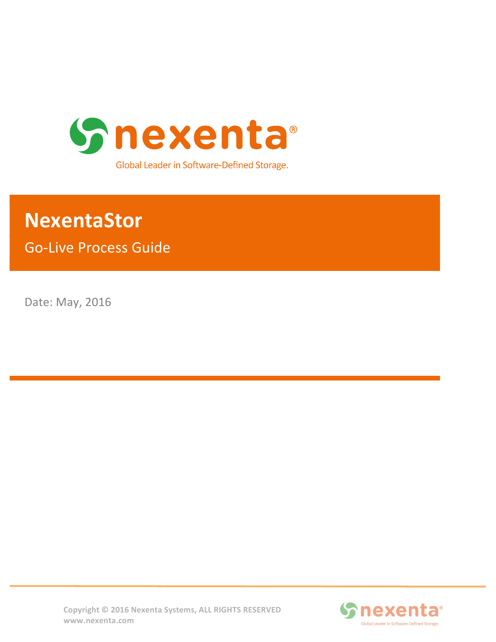

# **NexentaStor**

**Go-Live Process Guide** 

Date: May, 2016



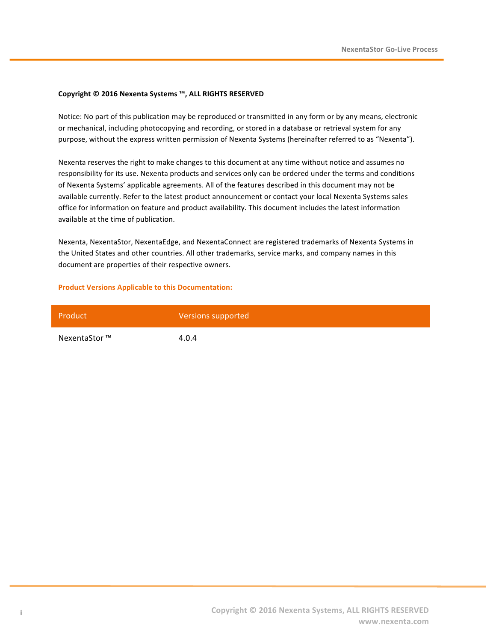#### **Copyright © 2016 Nexenta Systems ™, ALL RIGHTS RESERVED**

Notice: No part of this publication may be reproduced or transmitted in any form or by any means, electronic or mechanical, including photocopying and recording, or stored in a database or retrieval system for any purpose, without the express written permission of Nexenta Systems (hereinafter referred to as "Nexenta").

Nexenta reserves the right to make changes to this document at any time without notice and assumes no responsibility for its use. Nexenta products and services only can be ordered under the terms and conditions of Nexenta Systems' applicable agreements. All of the features described in this document may not be available currently. Refer to the latest product announcement or contact your local Nexenta Systems sales office for information on feature and product availability. This document includes the latest information available at the time of publication.

Nexenta, NexentaStor, NexentaEdge, and NexentaConnect are registered trademarks of Nexenta Systems in the United States and other countries. All other trademarks, service marks, and company names in this document are properties of their respective owners.

#### **Product Versions Applicable to this Documentation:**

| Product       | Versions supported |
|---------------|--------------------|
| NexentaStor ™ | 4.0.4              |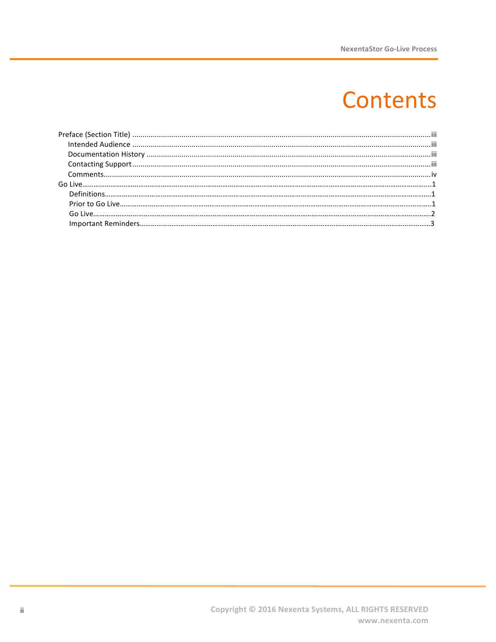# **Contents**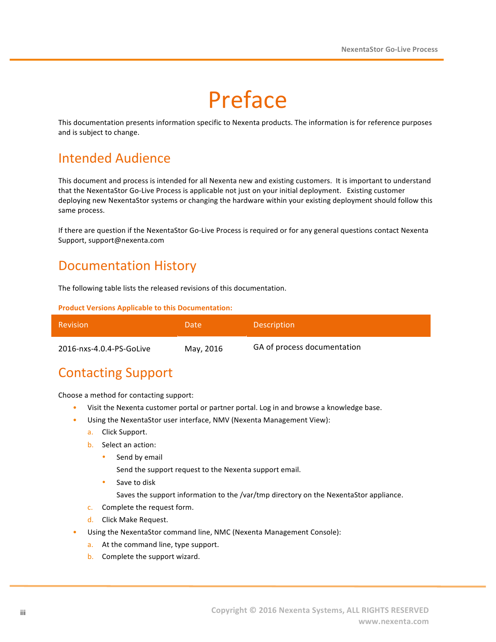# Preface

This documentation presents information specific to Nexenta products. The information is for reference purposes and is subject to change.

## Intended Audience

This document and process is intended for all Nexenta new and existing customers. It is important to understand that the NexentaStor Go-Live Process is applicable not just on your initial deployment. Existing customer deploying new NexentaStor systems or changing the hardware within your existing deployment should follow this same process.

If there are question if the NexentaStor Go-Live Process is required or for any general questions contact Nexenta Support, support@nexenta.com

### Documentation History

The following table lists the released revisions of this documentation.

**Product Versions Applicable to this Documentation:** 

| Revision                 | Date:     | <b>Description</b>          |
|--------------------------|-----------|-----------------------------|
| 2016-nxs-4.0.4-PS-GoLive | May, 2016 | GA of process documentation |

### **Contacting Support**

Choose a method for contacting support:

- Visit the Nexenta customer portal or partner portal. Log in and browse a knowledge base.
- Using the NexentaStor user interface, NMV (Nexenta Management View):
	- a. Click Support.
	- b. Select an action:
		- Send by email

Send the support request to the Nexenta support email.

Save to disk

Saves the support information to the /var/tmp directory on the NexentaStor appliance.

- c. Complete the request form.
- d. Click Make Request.
- Using the NexentaStor command line, NMC (Nexenta Management Console):
	- a. At the command line, type support.
	- b. Complete the support wizard.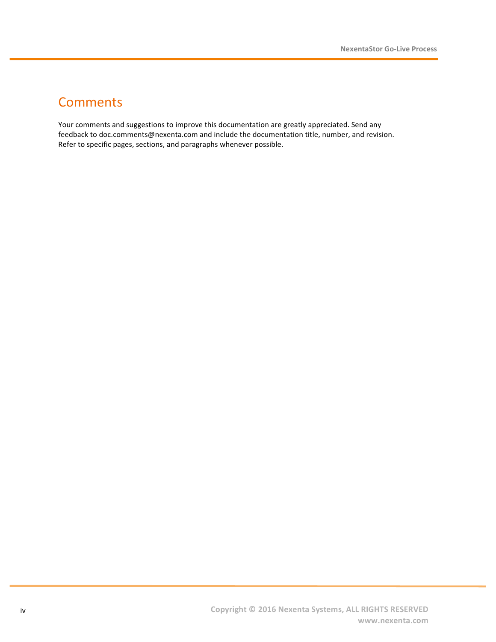### **Comments**

Your comments and suggestions to improve this documentation are greatly appreciated. Send any feedback to doc.comments@nexenta.com and include the documentation title, number, and revision. Refer to specific pages, sections, and paragraphs whenever possible.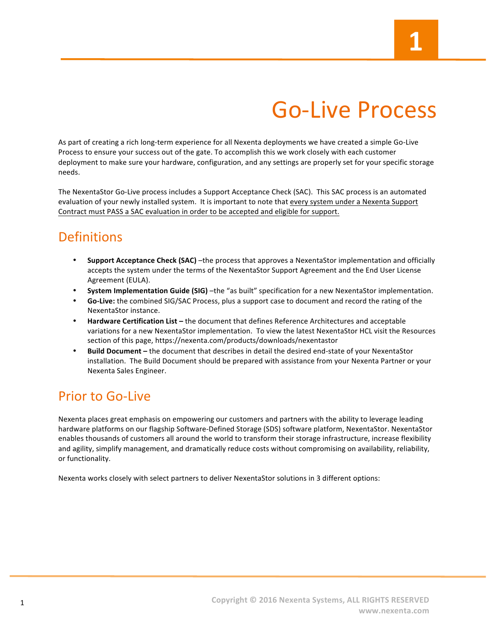# Go-Live Process

As part of creating a rich long-term experience for all Nexenta deployments we have created a simple Go-Live Process to ensure your success out of the gate. To accomplish this we work closely with each customer deployment to make sure your hardware, configuration, and any settings are properly set for your specific storage needs. 

The NexentaStor Go-Live process includes a Support Acceptance Check (SAC). This SAC process is an automated evaluation of your newly installed system. It is important to note that every system under a Nexenta Support Contract must PASS a SAC evaluation in order to be accepted and eligible for support.

# **Definitions**

- **Support Acceptance Check (SAC)** –the process that approves a NexentaStor implementation and officially accepts the system under the terms of the NexentaStor Support Agreement and the End User License Agreement (EULA).
- **System Implementation Guide (SIG)** –the "as built" specification for a new NexentaStor implementation.
- Go-Live: the combined SIG/SAC Process, plus a support case to document and record the rating of the NexentaStor instance.
- **Hardware Certification List** the document that defines Reference Architectures and acceptable variations for a new NexentaStor implementation. To view the latest NexentaStor HCL visit the Resources section of this page, https://nexenta.com/products/downloads/nexentastor
- **Build Document** the document that describes in detail the desired end-state of your NexentaStor installation. The Build Document should be prepared with assistance from your Nexenta Partner or your Nexenta Sales Engineer.

# Prior to Go-Live

Nexenta places great emphasis on empowering our customers and partners with the ability to leverage leading hardware platforms on our flagship Software-Defined Storage (SDS) software platform, NexentaStor. NexentaStor enables thousands of customers all around the world to transform their storage infrastructure, increase flexibility and agility, simplify management, and dramatically reduce costs without compromising on availability, reliability, or functionality.

Nexenta works closely with select partners to deliver NexentaStor solutions in 3 different options: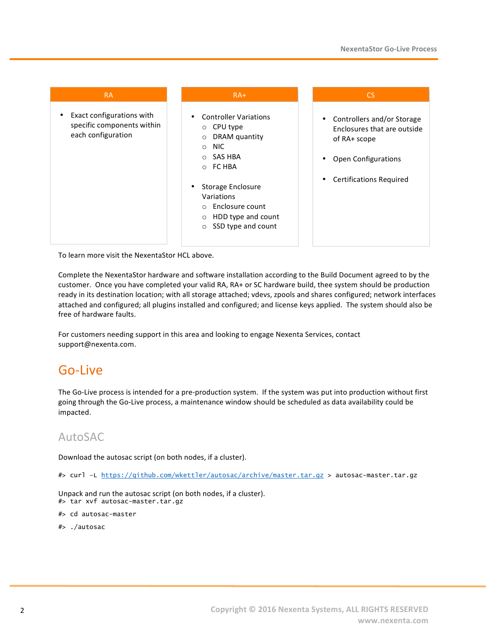| <b>RA</b>                                                                     | $RA+$                                                                                                                                                                                                                                                   | <b>CS</b>                                                                                                                          |  |
|-------------------------------------------------------------------------------|---------------------------------------------------------------------------------------------------------------------------------------------------------------------------------------------------------------------------------------------------------|------------------------------------------------------------------------------------------------------------------------------------|--|
| Exact configurations with<br>specific components within<br>each configuration | <b>Controller Variations</b><br>CPU type<br>$\circ$<br>DRAM quantity<br>$\circ$<br><b>NIC</b><br>$\circ$<br>SAS HBA<br>$\circ$<br>FC HBA<br>$\circ$<br>Storage Enclosure<br>Variations<br>Enclosure count<br>$\bigcap$<br>HDD type and count<br>$\circ$ | Controllers and/or Storage<br>Enclosures that are outside<br>of RA+ scope<br>Open Configurations<br><b>Certifications Required</b> |  |
|                                                                               | SSD type and count<br>$\circ$                                                                                                                                                                                                                           |                                                                                                                                    |  |

To learn more visit the NexentaStor HCL above.

Complete the NexentaStor hardware and software installation according to the Build Document agreed to by the customer. Once you have completed your valid RA, RA+ or SC hardware build, thee system should be production ready in its destination location; with all storage attached; vdevs, zpools and shares configured; network interfaces attached and configured; all plugins installed and configured; and license keys applied. The system should also be free of hardware faults.

For customers needing support in this area and looking to engage Nexenta Services, contact support@nexenta.com.

### Go-Live

The Go-Live process is intended for a pre-production system. If the system was put into production without first going through the Go-Live process, a maintenance window should be scheduled as data availability could be impacted.

### AutoSAC

Download the autosac script (on both nodes, if a cluster).

#> curl –L https://github.com/wkettler/autosac/archive/master.tar.gz > autosac-master.tar.gz

Unpack and run the autosac script (on both nodes, if a cluster). #> tar xvf autosac-master.tar.gz

#> cd autosac-master

#> ./autosac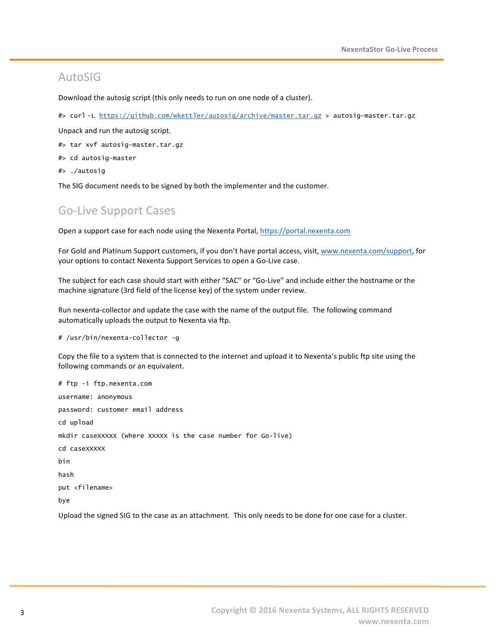#### AutoSIG

Download the autosig script (this only needs to run on one node of a cluster).

#> curl -L https://github.com/wkettler/autosig/archive/master.tar.gz > autosig-master.tar.gz

Unpack and run the autosig script.

- #> tar xvf autosig-master.tar.gz
- #> cd autosig-master
- #> ./autosig

The SIG document needs to be signed by both the implementer and the customer.

#### Go-Live Support Cases

Open a support case for each node using the Nexenta Portal, https://portal.nexenta.com

For Gold and Platinum Support customers, if you don't have portal access, visit, www.nexenta.com/support, for your options to contact Nexenta Support Services to open a Go-Live case.

The subject for each case should start with either "SAC" or "Go-Live" and include either the hostname or the machine signature (3rd field of the license key) of the system under review.

Run nexenta-collector and update the case with the name of the output file. The following command automatically uploads the output to Nexenta via ftp.

# /usr/bin/nexenta-collector –g

Copy the file to a system that is connected to the internet and upload it to Nexenta's public ftp site using the following commands or an equivalent.

# ftp -i ftp.nexenta.com username: anonymous password: customer email address cd upload mkdir caseXXXXX (where XXXXX is the case number for Go-live) cd caseXXXXX bin hash put <filename> bye

Upload the signed SIG to the case as an attachment. This only needs to be done for one case for a cluster.